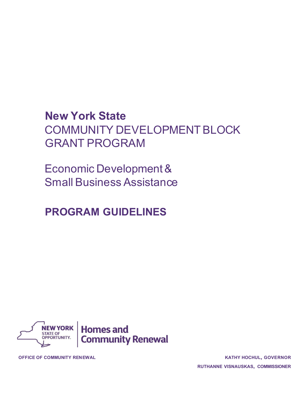# **New York State**  COMMUNITY DEVELOPMENT BLOCK GRANT PROGRAM

Economic Development & Small Business Assistance

# **PROGRAM GUIDELINES**



**OFFICE OF COMMUNITY RENEWAL KATHY HOCHUL, GOVERNOR**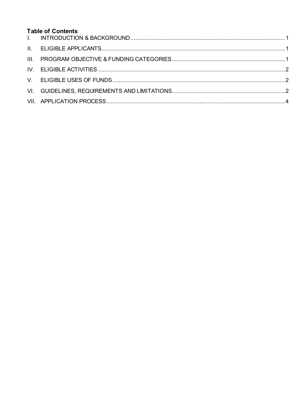# **Table of Contents**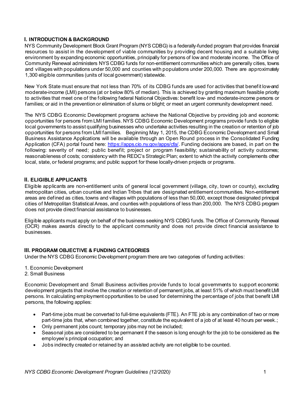## <span id="page-2-0"></span>**I. INTRODUCTION & BACKGROUND**

NYS Community Development Block Grant Program (NYS CDBG) is a federally-funded program that provides financial resources to assist in the development of viable communities by providing decent housing and a suitable living environment by expanding economic opportunities, principally for persons of low and moderate income. The Office of Community Renewal administers NYS CDBG funds for non-entitlement communities which are generally cities, towns and villages with populations under 50,000 and counties with populations under 200,000. There are approximately 1,300 eligible communities (units of local government) statewide.

New York State must ensure that not less than 70% of its CDBG funds are used for activities that benefit low-and moderate-income (LMI) persons (at or below 80% of median). This is achieved by granting maximum feasible priority to activities that meet one of the following federal National Objectives: benefit low- and moderate-income persons or families; or aid in the prevention or elimination of slums or blight; or meet an urgent community development need.

The NYS CDBG Economic Development programs achieve the National Objective by providing job and economic opportunities for persons from LMI families. NYS CDBG Economic Development programs provide funds to eligible local governments to assist qualifying businesses who undertake activities resulting in the creation or retention of job opportunities for persons from LMI families. Beginning May 1, 2015, the CDBG Economic Development and Small Business Assistance Applications will be available through an Open Round process in the Consolidated Funding Application (CFA) portal found here:<https://apps.cio.ny.gov/apps/cfa/>. Funding decisions are based, in part on the following: severity of need; public benefit; project or program feasibility; sustainability of activity outcomes; reasonableness of costs; consistency with the REDC's Strategic Plan; extent to which the activity complements other local, state, or federal programs; and public support for these locally-driven projects or programs.

#### <span id="page-2-1"></span>**II. ELIGIBLE APPLICANTS**

Eligible applicants are non-entitlement units of general local government (village, city, town or county), excluding metropolitan cities, urban counties and Indian Tribes that are designated entitlement communities. Non-entitlement areas are defined as cities, towns and villages with populations of less than 50,000, except those designated principal cities of Metropolitan Statistical Areas, and counties with populations of less than 200,000. The NYS CDBG program does not provide direct financial assistance to businesses.

Eligible applicants must apply on behalf of the business seeking NYS CDBG funds. The Office of Community Renewal (OCR) makes awards directly to the applicant community and does not provide direct financial assistance to businesses.

#### <span id="page-2-2"></span>**III. PROGRAM OBJECTIVE & FUNDING CATEGORIES**

Under the NYS CDBG Economic Development program there are two categories of funding activities:

- 1. Economic Development
- 2. Small Business

Economic Development and Small Business activities provide funds to local governments to support economic development projects that involve the creation or retention of permanent jobs, at least 51% of which must benefit LMI persons. In calculating employment opportunities to be used for determining the percentage of jobs that benefit LMI persons, the following applies:

- Part-time jobs must be converted to full-time equivalents (FTE). An FTE job is any combination of two or more part-time jobs that, when combined together, constitute the equivalent of a job of at least 40 hours per week.;
- Only permanent jobs count; temporary jobs may not be included;
- Seasonal jobs are considered to be permanent if the season is long enough for the job to be considered as the employee's principal occupation; and
- Jobs indirectly created or retained by an assisted activity are not eligible to be counted.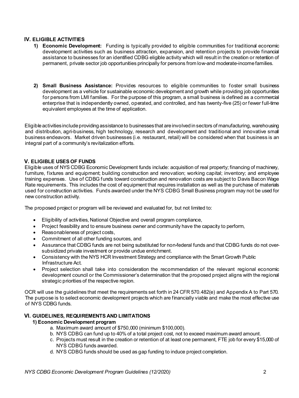## <span id="page-3-0"></span>**IV. ELIGIBLE ACTIVITIES**

- **1) Economic Development:** Funding is typically provided to eligible communities for traditional economic development activities such as business attraction, expansion, and retention projects to provide financial assistance to businesses for an identified CDBG eligible activity which will result in the creation or retention of permanent, private sector job opportunities principally for persons from low-and moderate-income families.
- **2) Small Business Assistance:** Provides resources to eligible communities to foster small business development as a vehicle for sustainable economic development and growth while providing job opportunities for persons from LMI families. For the purpose of this program, a small business is defined as a commercial enterprise that is independently owned, operated, and controlled, and has twenty-five (25) or fewer full-time equivalent employees at the time of application.

Eligible activities include providing assistance to businesses that are involved in sectors of manufacturing, warehousing and distribution, agri-business, high technology, research and development and traditional and innovative small business endeavors. Market driven businesses (i.e. restaurant, retail) will be considered when that business is an integral part of a community's revitalization efforts.

#### <span id="page-3-1"></span>**V. ELIGIBLE USES OF FUNDS**

Eligible uses of NYS CDBG Economic Development funds include: acquisition of real property; financing of machinery, furniture, fixtures and equipment; building construction and renovation; working capital; inventory; and employee training expenses. Use of CDBG funds toward construction and renovation costs are subject to Davis Bacon Wage Rate requirements. This includes the cost of equipment that requires installation as well as the purchase of materials used for construction activities. Funds awarded under the NYS CDBG Small Business program may not be used for new construction activity.

The proposed project or program will be reviewed and evaluated for, but not limited to:

- Eligibility of activities, National Objective and overall program compliance,
- Project feasibility and to ensure business owner and community have the capacity to perform,
- Reasonableness of project costs,
- Commitment of all other funding sources, and
- Assurance that CDBG funds are not being substituted for non-federal funds and that CDBG funds do not oversubsidized private investment or provide undue enrichment.
- Consistency with the NYS HCR Investment Strategy and compliance with the Smart Growth Public Infrastructure Act.
- Project selection shall take into consideration the recommendation of the relevant regional economic development council or the Commissioner's determination that the proposed project aligns with the regional strategic priorities of the respective region.

<span id="page-3-2"></span>OCR will use the guidelines that meet the requirements set forth in 24 CFR 570.482(e) and Appendix A to Part 570. The purpose is to select economic development projects which are financially viable and make the most effective use of NYS CDBG funds.

#### **VI. GUIDELINES, REQUIREMENTS AND LIMITATIONS**

#### **1) Economic Development program**

- a. Maximum award amount of \$750,000 (minimum \$100,000).
- b. NYS CDBG can fund up to 40% of a total project cost, not to exceed maximum award amount.
- c. Projects must result in the creation or retention of at least one permanent, FTE job for every \$15,000 of NYS CDBG funds awarded.
- d. NYS CDBG funds should be used as gap funding to induce project completion.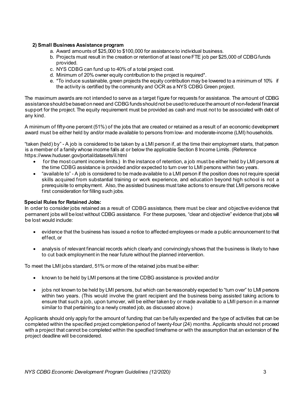#### **2) Small Business Assistance program**

- a. Award amounts of \$25,000 to \$100,000 for assistance to individual business.
- b. Projects must result in the creation or retention of at least one FTE job per \$25,000 of CDBG funds provided.
- c. NYS CDBG can fund up to 40% of a total project cost.
- d. Minimum of 20% owner equity contribution to the project is required\*.
- e. \*To induce sustainable, green projects the equity contribution may be lowered to a minimum of 10% if the activity is certified by the community and OCR as a NYS CDBG Green project.

The maximum awards are not intended to serve as a target figure for requests for assistance. The amount of CDBG assistance should be based on need and CDBG funds should not be used to reduce the amount of non-federal financial support for the project. The equity requirement must be provided as cash and must not to be associated with debt of any kind.

A minimum of fifty-one percent (51%) of the jobs that are created or retained as a result of an economic development award must be either held by and/or made available to persons from low- and moderate-income (LMI) households.

"taken (held) by" - A job is considered to be taken by a LMI person if, at the time their employment starts, that person is a member of a family whose income falls at or below the applicable Section 8 Income Limits. (Reference https://www.huduser.gov/portal/datasets/il.html

- for the most current income limits.) In the instance of retention, a job must be either held by LMI persons at the time CDBG assistance is provided and/or expected to turn over to LMI persons within two years.
- "available to" A job is considered to be made available to a LMI person if the position does not require special skills acquired from substantial training or work experience, and education beyond high school is not a prerequisite to employment. Also, the assisted business must take actions to ensure that LMI persons receive first consideration for filling such jobs.

#### **Special Rules for Retained Jobs:**

In order to consider jobs retained as a result of CDBG assistance, there must be clear and objective evidence that permanent jobs will be lost without CDBG assistance. For these purposes, "clear and objective" evidence that jobs will be lost would include:

- evidence that the business has issued a notice to affected employees or made a public announcement to that effect, or
- analysis of relevant financial records which clearly and convincingly shows that the business is likely to have to cut back employment in the near future without the planned intervention.

To meet the LMI jobs standard, 51% or more of the retained jobs must be either:

- known to be held by LMI persons at the time CDBG assistance is provided and/or
- jobs not known to be held by LMI persons, but which can be reasonably expected to "turn over" to LMI persons within two years. (This would involve the grant recipient and the business being assisted taking actions to ensure that such a job, upon turnover, will be either taken by or made available to a LMI person in a manner similar to that pertaining to a newly created job, as discussed above.)

Applicants should only apply for the amount of funding that can be fully expended and the type of activities that can be completed within the specified project completion period of twenty-four (24) months. Applicants should not proceed with a project that cannot be completed within the specified timeframe or with the assumption that an extension of the project deadline will be considered.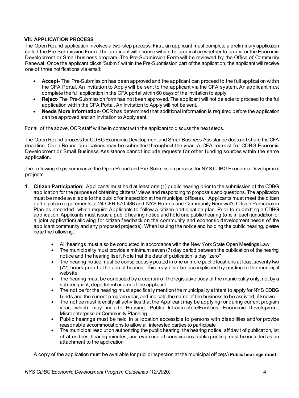# <span id="page-5-0"></span>**VII. APPLICATION PROCESS**

The Open Round application involves a two-step process. First, an applicant must complete a preliminary application called the Pre-Submission Form. The applicant will choose within the application whether to apply for the Economic Development or Small business program. The Pre-Submission Form will be reviewed by the Office of Community Renewal. Once the applicant clicks 'Submit' within the Pre-Submission part of the application, the applicant will receive one of three notifications via email:

- **Accept** The Pre-Submission has been approved and the applicant can proceed to the full application within the CFA Portal. An Invitation to Apply will be sent to the applicant via the CFA system. An applicant must complete the full application in the CFA portal within 60 days of the invitation to apply.
- **Reject** The Pre-Submission form has not been approved. The applicant will not be able to proceed to the full application within the CFA Portal. An Invitation to Apply will not be sent.
- **Needs More Information** OCR has determined that additional information is required before the application can be approved and an Invitation to Apply sent.

For all of the above, OCR staff will be in contact with the applicant to discuss the next steps.

The Open Round process for CDBG Economic Development and Small Business Assistance does not share the CFA deadline. Open Round applications may be submitted throughout the year. A CFA request for CDBG Economic Development or Small Business Assistance cannot include requests for other funding sources within the same application.

The following steps summarize the Open Round and Pre-Submission process for NYS CDBG Economic Development projects:

- **1. Citizen Participation:** Applicants must hold at least one (1) public hearing prior to the submission of the CDBG application for the purpose of obtaining citizens' views and responding to proposals and questions. The application must be made available to the public for inspection at the municipal office(s). Applicants must meet the citizen participation requirements at 24 CFR 570.486 and NYS Homes and Community Renewal's Citizen Participation Plan as amended, which require Applicants to follow a citizen participation plan. Prior to submitting a CDBG application, Applicants must issue a public hearing notice and hold one public hearing (one in each jurisdiction of a joint application) allowing for citizen feedback on the community and economic development needs of the applicant community and any proposed project(s). When issuing the notice and holding the public hearing, please note the following:
	- All hearings must also be conducted in accordance with the New York State Open Meetings Law
	- The municipality must provide a minimum seven (7) day period between the publication of the hearing notice and the hearing itself. Note that the date of publication is day "zero"
	- The hearing notice must be conspicuously posted in one or more public locations at least seventy-two (72) hours prior to the actual hearing. This may also be accomplished by posting to the municipal website
	- The hearing must be conducted by a quorum of the legislative body of the municipality only, not by a sub recipient, department or arm of the applicant
	- The notice for the hearing must specifically mention the municipality's intent to apply for NYS CDBG funds and the current program year, and indicate the name of the business to be assisted, if known
	- The notice must identify all activities that the Applicant may be applying for during current program year, which may include Housing, Public Infrastructure/Facilities, Economic Development, Microenterprise or Community Planning
	- Public hearings must be held in a location accessible to persons with disabilities and/or provide reasonable accommodations to allow all interested parties to participate
	- The municipal resolution authorizing the public hearing, the hearing notice, affidavit of publication, list of attendees, hearing minutes, and evidence of conspicuous public posting must be included as an attachment to the application

A copy of the application must be available for public inspection at the municipal office(s) **Public hearings must**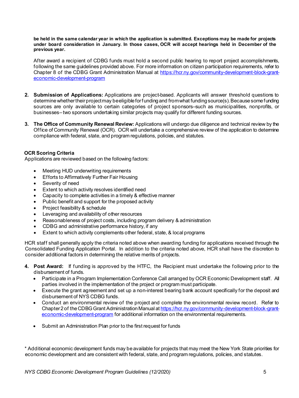**be held in the same calendar year in which the application is submitted. Exceptions may be made for projects under board consideration in January. In those cases, OCR will accept hearings held in December of the previous year.**

After award a recipient of CDBG funds must hold a second public hearing to report project accomplishments, following the same guidelines provided above. For more information on citizen participation requirements, refer to Chapter 8 of the CDBG Grant Administration Manual at [https://hcr.ny.gov/community-development-block-grant](https://hcr.ny.gov/community-development-block-grant-economic-development-program)[economic-development-program](https://hcr.ny.gov/community-development-block-grant-economic-development-program)

- **2. Submission of Applications:** Applications are project-based. Applicants will answer threshold questions to determine whether their project may be eligible for funding and from what funding source(s). Because some funding sources are only available to certain categories of project sponsors–such as municipalities, nonprofits, or businesses–two sponsors undertaking similar projects may qualify for different funding sources.
- **3. The Office of Community Renewal Review:** Applications will undergo due diligence and technical review by the Office of Community Renewal (OCR). OCR will undertake a comprehensive review of the application to determine compliance with federal, state, and program regulations, policies, and statutes.

### **OCR Scoring Criteria**

Applications are reviewed based on the following factors:

- Meeting HUD underwriting requirements
- Efforts to Affirmatively Further Fair Housing
- Severity of need
- Extent to which activity resolves identified need
- Capacity to complete activities in a timely & effective manner
- Public benefit and support for the proposed activity
- Project feasibility & schedule
- Leveraging and availability of other resources
- Reasonableness of project costs, including program delivery & administration
- CDBG and administrative performance history, if any
- Extent to which activity complements other federal, state, & local programs

HCR staff shall generally apply the criteria noted above when awarding funding for applications received through the Consolidated Funding Application Portal. In addition to the criteria noted above, HCR shall have the discretion to consider additional factors in determining the relative merits of projects.

- **4. Post Award:** If funding is approved by the HTFC, the Recipient must undertake the following prior to the disbursement of funds.
	- Participate in a Program Implementation Conference Call arranged by OCR Economic Development staff. All parties involved in the implementation of the project or program must participate.
	- Execute the grant agreement and set up a non-interest bearing bank account specifically for the deposit and disbursement of NYS CDBG funds.
	- Conduct an environmental review of the project and complete the environmental review record. Refer to Chapter 2 of the CDBG Grant Administration Manual a[t https://hcr.ny.gov/community-development-block-grant](https://hcr.ny.gov/community-development-block-grant-economic-development-program)[economic-development-program](https://hcr.ny.gov/community-development-block-grant-economic-development-program) for additional information on the environmental requirements.
	- Submit an Administration Plan prior to the first request for funds

\* Additional economic development funds may be available for projects that may meet the New York State priorities for economic development and are consistent with federal, state, and program regulations, policies, and statutes.